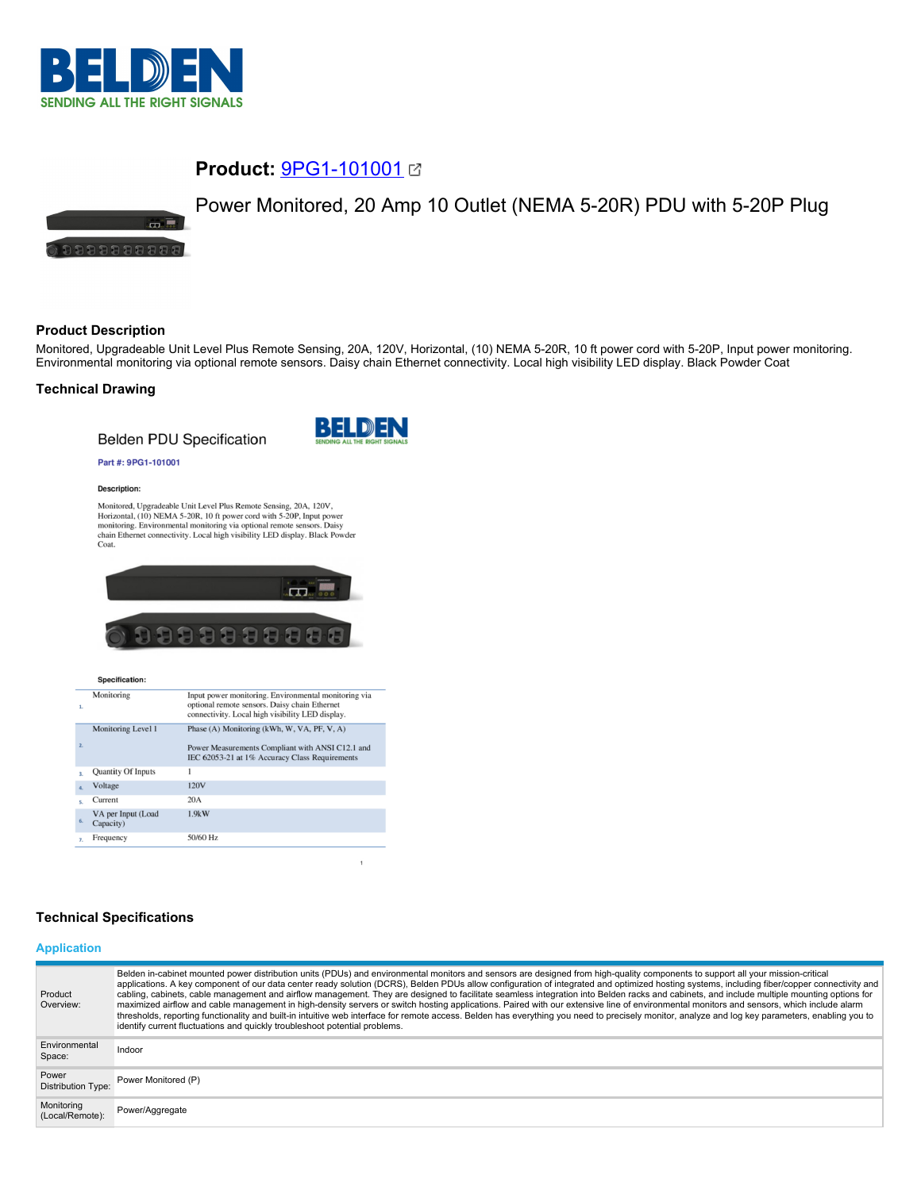

tan di

## **Product:** [9PG1-101001](https://catalog.belden.com/index.cfm?event=pd&p=PF_9PG1101001&tab=downloads)

# Power Monitored, 20 Amp 10 Outlet (NEMA 5-20R) PDU with 5-20P Plug

# **Product Description**

0000000000

Monitored, Upgradeable Unit Level Plus Remote Sensing, 20A, 120V, Horizontal, (10) NEMA 5-20R, 10 ft power cord with 5-20P, Input power monitoring. Environmental monitoring via optional remote sensors. Daisy chain Ethernet connectivity. Local high visibility LED display. Black Powder Coat

## **Technical Drawing**

**Belden PDU Specification** 



#### Part #: 9PG1-101001

#### Description:

Monitored, Upgradeable Unit Level Plus Remote Sensing, 20A, 120V, Monitorea, Opgradeable Unit Level Pius Kennote Sensing, 201, 120 v,<br>Horizontal, (10) NEMA 5-20R, 10 ft power cord with 5-20P, Input power<br>monitoring. Environmental monitoring via optional remote sensors. Daisy<br>chain Ethern



#### Specification:

| $\mathbf{1}$     | Monitoring                      | Input power monitoring. Environmental monitoring via<br>optional remote sensors. Daisy chain Ethernet<br>connectivity. Local high visibility LED display. |
|------------------|---------------------------------|-----------------------------------------------------------------------------------------------------------------------------------------------------------|
|                  | Monitoring Level 1              | Phase (A) Monitoring (kWh, W, VA, PF, V, A)                                                                                                               |
| $\overline{2}$   |                                 | Power Measurements Compliant with ANSI C12.1 and<br>IEC 62053-21 at 1% Accuracy Class Requirements                                                        |
| $\overline{3}$   | Quantity Of Inputs              | 1                                                                                                                                                         |
| $\overline{a}$ . | Voltage                         | 120V                                                                                                                                                      |
| s.               | Current                         | 20A                                                                                                                                                       |
| 6.               | VA per Input (Load<br>Capacity) | 1.9kW                                                                                                                                                     |
| $\overline{z}$   | Frequency                       | 50/60 Hz                                                                                                                                                  |

## **Technical Specifications**

#### **Application**

| Product<br>Overview:               | Belden in-cabinet mounted power distribution units (PDUs) and environmental monitors and sensors are designed from high-quality components to support all your mission-critical<br>applications. A key component of our data center ready solution (DCRS), Belden PDUs allow configuration of integrated and optimized hosting systems, including fiber/copper connectivity and<br>cabling, cabinets, cable management and airflow management. They are designed to facilitate seamless integration into Belden racks and cabinets, and include multiple mounting options for<br>maximized airflow and cable management in high-density servers or switch hosting applications. Paired with our extensive line of environmental monitors and sensors, which include alarm<br>thresholds, reporting functionality and built-in intuitive web interface for remote access. Belden has everything you need to precisely monitor, analyze and log key parameters, enabling you to<br>identify current fluctuations and quickly troubleshoot potential problems. |
|------------------------------------|-------------------------------------------------------------------------------------------------------------------------------------------------------------------------------------------------------------------------------------------------------------------------------------------------------------------------------------------------------------------------------------------------------------------------------------------------------------------------------------------------------------------------------------------------------------------------------------------------------------------------------------------------------------------------------------------------------------------------------------------------------------------------------------------------------------------------------------------------------------------------------------------------------------------------------------------------------------------------------------------------------------------------------------------------------------|
| Environmental<br>Space:            | Indoor                                                                                                                                                                                                                                                                                                                                                                                                                                                                                                                                                                                                                                                                                                                                                                                                                                                                                                                                                                                                                                                      |
| Power<br><b>Distribution Type:</b> | Power Monitored (P)                                                                                                                                                                                                                                                                                                                                                                                                                                                                                                                                                                                                                                                                                                                                                                                                                                                                                                                                                                                                                                         |
| Monitoring<br>(Local/Remote):      | Power/Aggregate                                                                                                                                                                                                                                                                                                                                                                                                                                                                                                                                                                                                                                                                                                                                                                                                                                                                                                                                                                                                                                             |